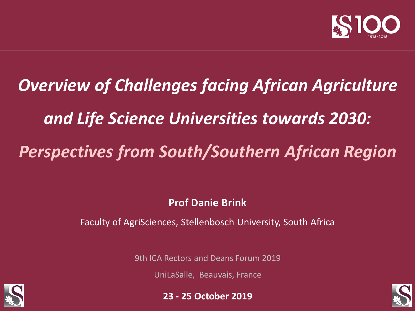

# *Overview of Challenges facing African Agriculture and Life Science Universities towards 2030: Perspectives from South/Southern African Region*

**Prof Danie Brink**

Faculty of AgriSciences, Stellenbosch University, South Africa

9th ICA Rectors and Deans Forum 2019

UniLaSalle, Beauvais, France





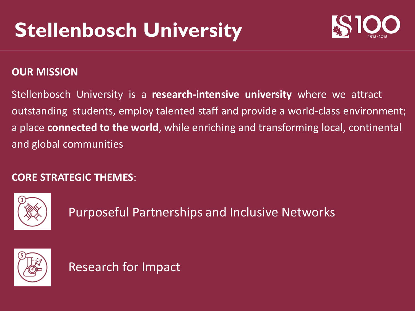

#### **OUR MISSION**

Stellenbosch University is a **research-intensive university** where we attract outstanding students, employ talented staff and provide a world-class environment; a place **connected to the world**, while enriching and transforming local, continental and global communities

#### **CORE STRATEGIC THEMES**:



Purposeful Partnerships and Inclusive Networks



Research for Impact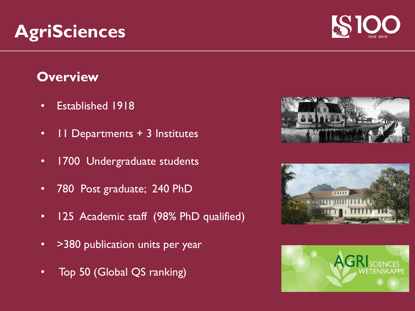## **Overview**

- Established 1918
- 11 Departments + 3 Institutes
- 1700 Undergraduate students
- 780 Post graduate; 240 PhD
- 125 Academic staff (98% PhD qualified)
- > > 380 publication units per year
- Top 50 (Global QS ranking)









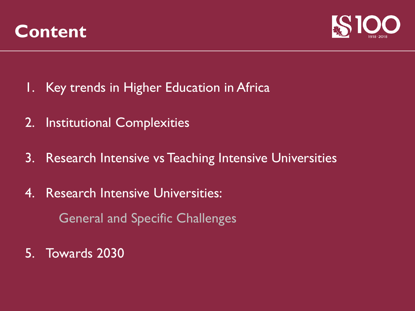



- 1. Key trends in Higher Education in Africa
- 2. Institutional Complexities
- 3. Research Intensive vs Teaching Intensive Universities
- 4. Research Intensive Universities: General and Specific Challenges
- 5. Towards 2030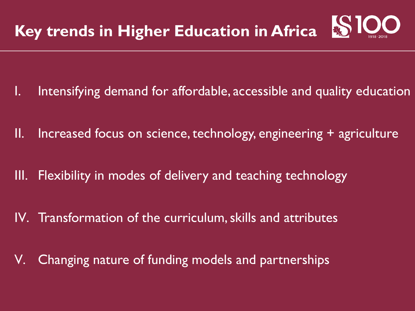

- Intensifying demand for affordable, accessible and quality education
- II. Increased focus on science, technology, engineering + agriculture
- III. Flexibility in modes of delivery and teaching technology
- IV. Transformation of the curriculum, skills and attributes
- V. Changing nature of funding models and partnerships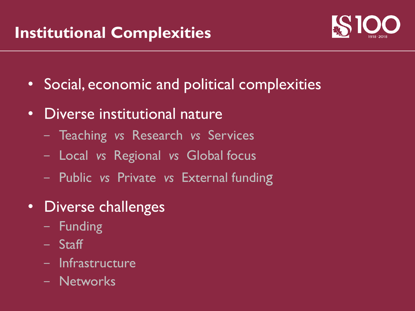## **Institutional Complexities**



- Social, economic and political complexities
- Diverse institutional nature
	- Teaching *vs* Research *vs* Services
	- Local *vs* Regional *vs* Global focus
	- Public *vs* Private *vs* External funding
- Diverse challenges
	- Funding
	- Staff
	- Infrastructure
	- Networks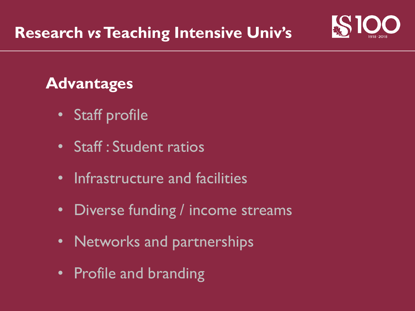

## **Advantages**

- Staff profile
- Staff : Student ratios
- Infrastructure and facilities
- Diverse funding / income streams
- Networks and partnerships
- Profile and branding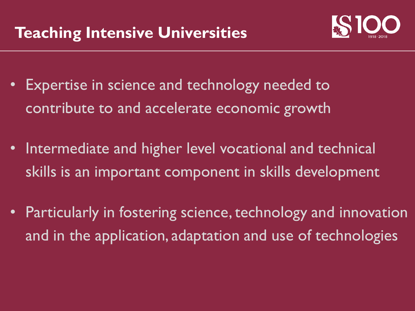

- Expertise in science and technology needed to contribute to and accelerate economic growth
- Intermediate and higher level vocational and technical skills is an important component in skills development
- Particularly in fostering science, technology and innovation and in the application, adaptation and use of technologies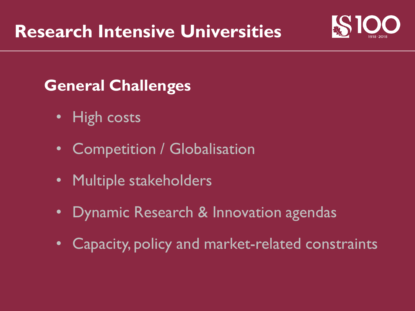

## **General Challenges**

- High costs
- Competition / Globalisation
- Multiple stakeholders
- Dynamic Research & Innovation agendas
- Capacity, policy and market-related constraints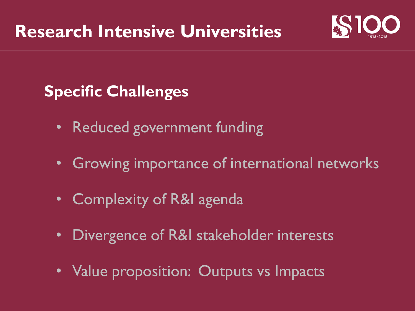

## **Specific Challenges**

- Reduced government funding
- Growing importance of international networks
- Complexity of R&I agenda
- Divergence of R&I stakeholder interests
- Value proposition: Outputs vs Impacts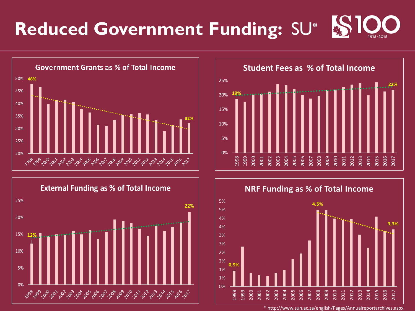# **Reduced Government Funding:** SU**\***









\* http://www.sun.ac.za/english/Pages/Annualreportarchives.aspx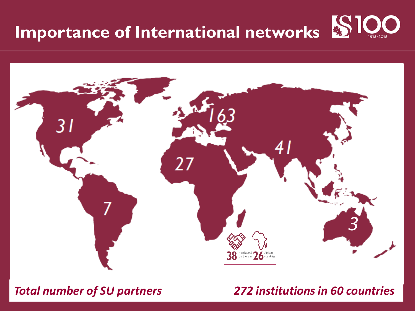# **Importance of International networks**



### *Total number of SU partners 272 institutions in 60 countries*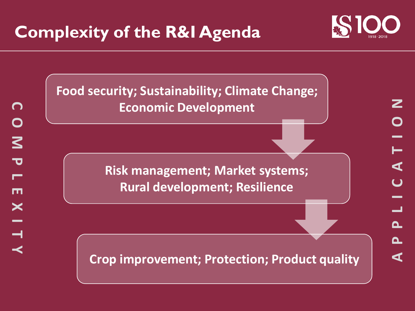## **Complexity of the R&I Agenda**





**Food security; Sustainability; Climate Change; Economic Development**

> **Risk management; Market systems; Rural development; Resilience**

**Crop improvement; Protection; Product quality**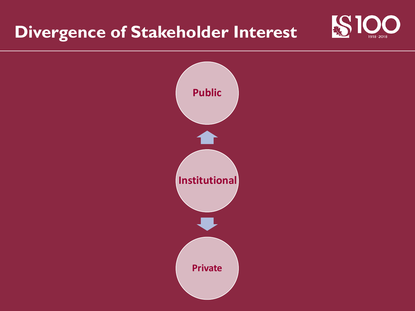## **Divergence of Stakeholder Interest**



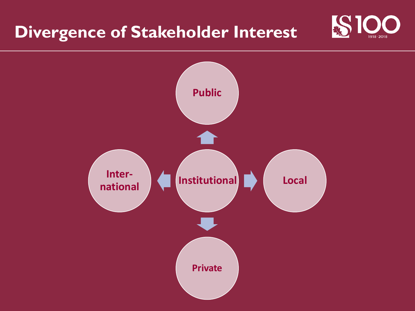## **Divergence of Stakeholder Interest**



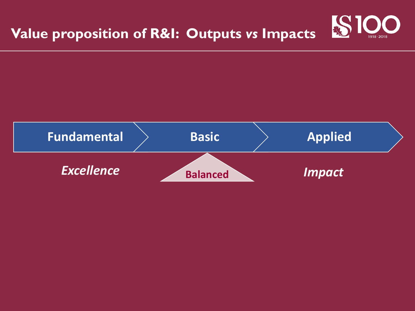

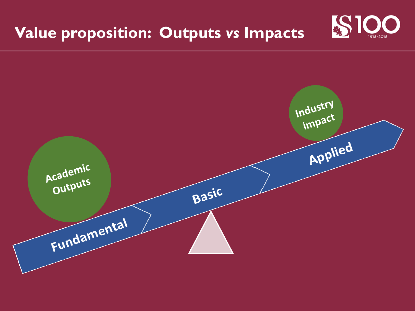## **Value proposition: Outputs** *vs* **Impacts**



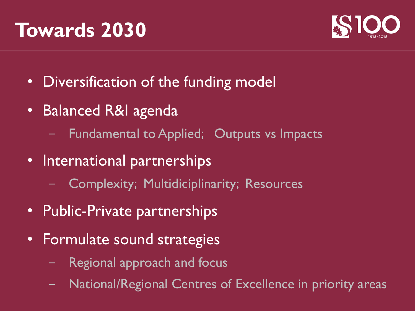## **Towards 2030**



- Diversification of the funding model
- Balanced R&I agenda
	- Fundamental to Applied; Outputs vs Impacts
- International partnerships
	- Complexity; Multidiciplinarity; Resources
- Public-Private partnerships
- Formulate sound strategies
	- Regional approach and focus
	- National/Regional Centres of Excellence in priority areas